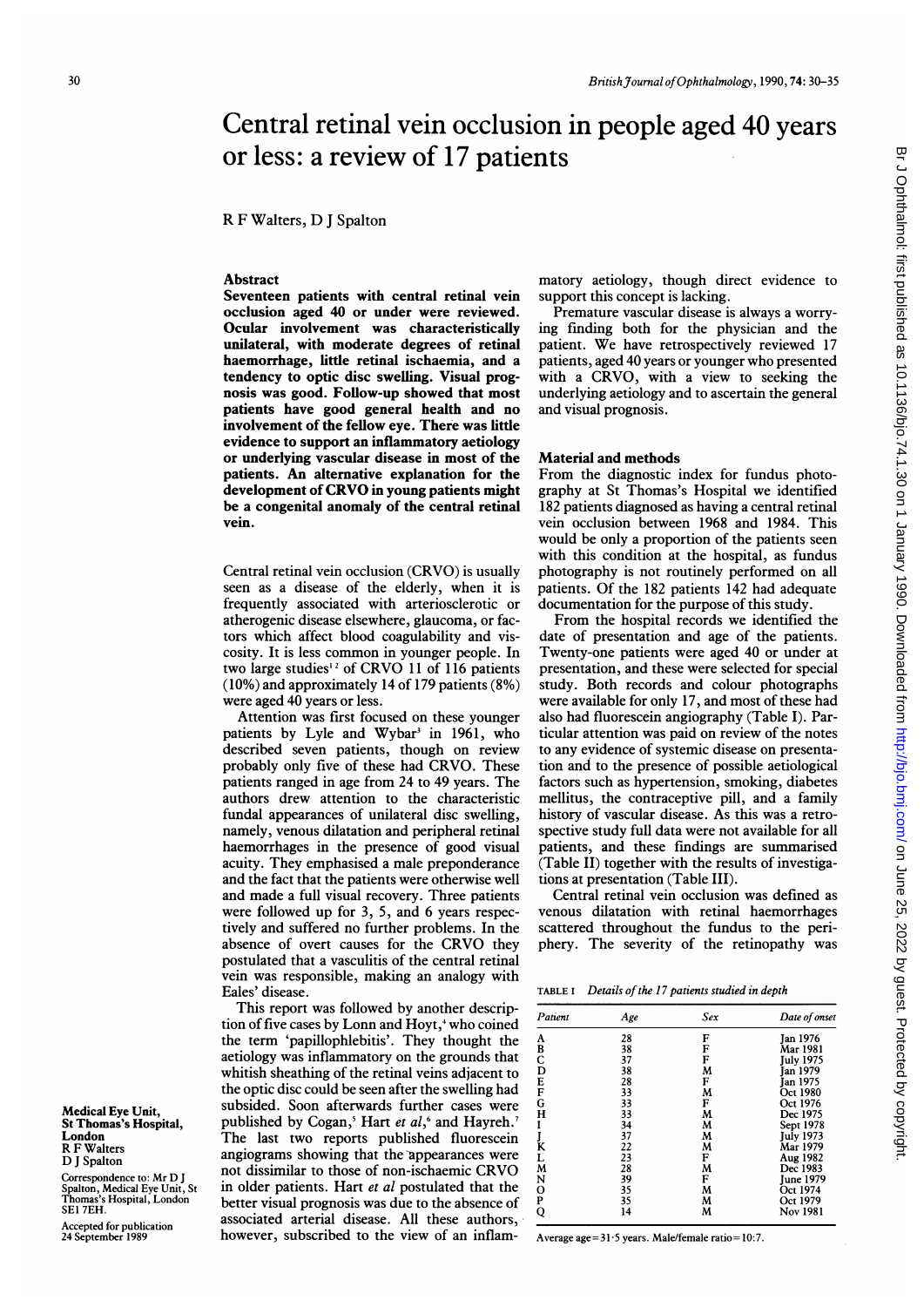# Central retinal vein occlusion in people aged 40 years or less: a review of 17 patients

R F Walters, D <sup>J</sup> Spalton

# Abstract

Seventeen patients with central retinal vein occlusion aged 40 or under were reviewed. Ocular involvement was characteristically unilateral, with moderate degrees of retinal haemorrhage, little retinal ischaemia, and a tendency to optic disc swelling. Visual prognosis was good. Follow-up showed that most patients have good general health and no involvement of the fellow eye. There was little evidence to support an inflammatory aetiology or underlying vascular disease in most of the patients. An alternative explanation for the development of CRVO in young patients might be a congenital anomaly of the central retinal vein.

Central retinal vein occlusion (CRVO) is usually seen as a disease of the elderly, when it is frequently associated with arteriosclerotic or atherogenic disease elsewhere, glaucoma, or factors which affect blood coagulability and viscosity. It is less common in younger people. In two large studies<sup>12</sup> of CRVO 11 of 116 patients (10%) and approximately 14 of 179 patients (8%) were aged 40 years or less.

Attention was first focused on these younger patients by Lyle and Wybar<sup>3</sup> in 1961, who described seven patients, though on review probably only five of these had CRVO. These patients ranged in age from 24 to 49 years. The authors drew attention to the characteristic fundal appearances of unilateral disc swelling, namely, venous dilatation and peripheral retinal haemorrhages in the presence of good visual acuity. They emphasised a male preponderance and the fact that the patients were otherwise well and made a full visual recovery. Three patients were followed up for 3, 5, and 6 years respectively and suffered no further problems. In the absence of overt causes for the CRVO they postulated that a vasculitis of the central retinal vein was responsible, making an analogy with Eales' disease.

This report was followed by another description of five cases by Lonn and Hoyt,<sup>4</sup> who coined the term 'papillophlebitis'. They thought the aetiology was inflammatory on the grounds that whitish sheathing of the retinal veins adjacent to the optic disc could be seen after the swelling had subsided. Soon afterwards further cases were published by Cogan,<sup>5</sup> Hart et al,<sup>6</sup> and Hayreh.<sup>7</sup> The last two reports published fluorescein angiograms showing that the appearances were not dissimilar to those of non-ischaemic CRVO in older patients. Hart et al postulated that the better visual prognosis was due to the absence of associated arterial disease. All these authors, however, subscribed to the view of an inflammatory aetiology, though direct evidence to support this concept is lacking.

Premature vascular disease is always a worrying finding both for the physician and the patient. We have retrospectively reviewed <sup>17</sup> patients, aged 40 years or younger who presented with <sup>a</sup> CRVO, with <sup>a</sup> view to seeking the underlying aetiology and to ascertain the general and visual prognosis.

#### Material and methods

From the diagnostic index for fundus photography at St Thomas's Hospital we identified 182 patients diagnosed as having a central retinal vein occlusion between 1968 and 1984. This would be only a proportion of the patients seen with this condition at the hospital, as fundus photography is not routinely performed on all patients. Of the 182 patients 142 had adequate documentation for the purpose of this study.

From the hospital records we identified the date of presentation and age of the patients. Twenty-one patients were aged 40 or under at presentation, and these were selected for special study. Both records and colour photographs were available for only 17, and most of these had also had fluorescein angiography (Table I). Particular attention was paid on review of the notes to any evidence of systemic disease on presentation and to the presence of possible aetiological factors such as hypertension, smoking, diabetes mellitus, the contraceptive pill, and a family history of vascular disease. As this was a retrospective study full data were not available for all patients, and these findings are summarised (Table II) together with the results of investigations at presentation (Table III).

Central retinal vein occlusion was defined as venous dilatation with retinal haemorrhages scattered throughout the fundus to the periphery. The severity of the retinopathy was

|  |  |  | TABLE I Details of the 17 patients studied in depth |
|--|--|--|-----------------------------------------------------|
|--|--|--|-----------------------------------------------------|

| Patient                         | Age | Sex | Date of onset    |
|---------------------------------|-----|-----|------------------|
|                                 | 28  | F   | <b>Jan 1976</b>  |
| A<br>B<br>C                     | 38  | F   | Mar 1981         |
|                                 | 37  | F   | <b>July 1975</b> |
|                                 | 38  | M   | Jan 1979         |
| $\frac{\mathbf{D}}{\mathbf{E}}$ | 28  | F   | <b>Jan 1975</b>  |
|                                 | 33  | M   | Oct 1980         |
| G                               | 33  | F   | Oct 1976         |
| н                               | 33  | M   | Dec 1975         |
|                                 | 34  | M   | Sept 1978        |
|                                 | 37  | M   | <b>July 1973</b> |
| K                               | 22  | M   | Mar 1979         |
| L                               | 23  | F   | Aug 1982         |
| M                               | 28  | M   | Dec 1983         |
| N                               | 39  | F   | June 1979        |
| $\mathbf 0$                     | 35  | M   | Oct 1974         |
| P                               | 35  | M   | Oct 1979         |
| Q                               | 14  | M   | Nov 1981         |

Average age =  $31.5$  years. Male/female ratio =  $10.7$ .

Medical Eye Unit, St Thomas's Hospital, London R F Walters D <sup>J</sup> Spalton Correspondence to: Mr D <sup>J</sup> Spalton, Medical Eye Unit, St Thomas's Hospital, London SE1 7EH.

Accepted for publication 24 September 1989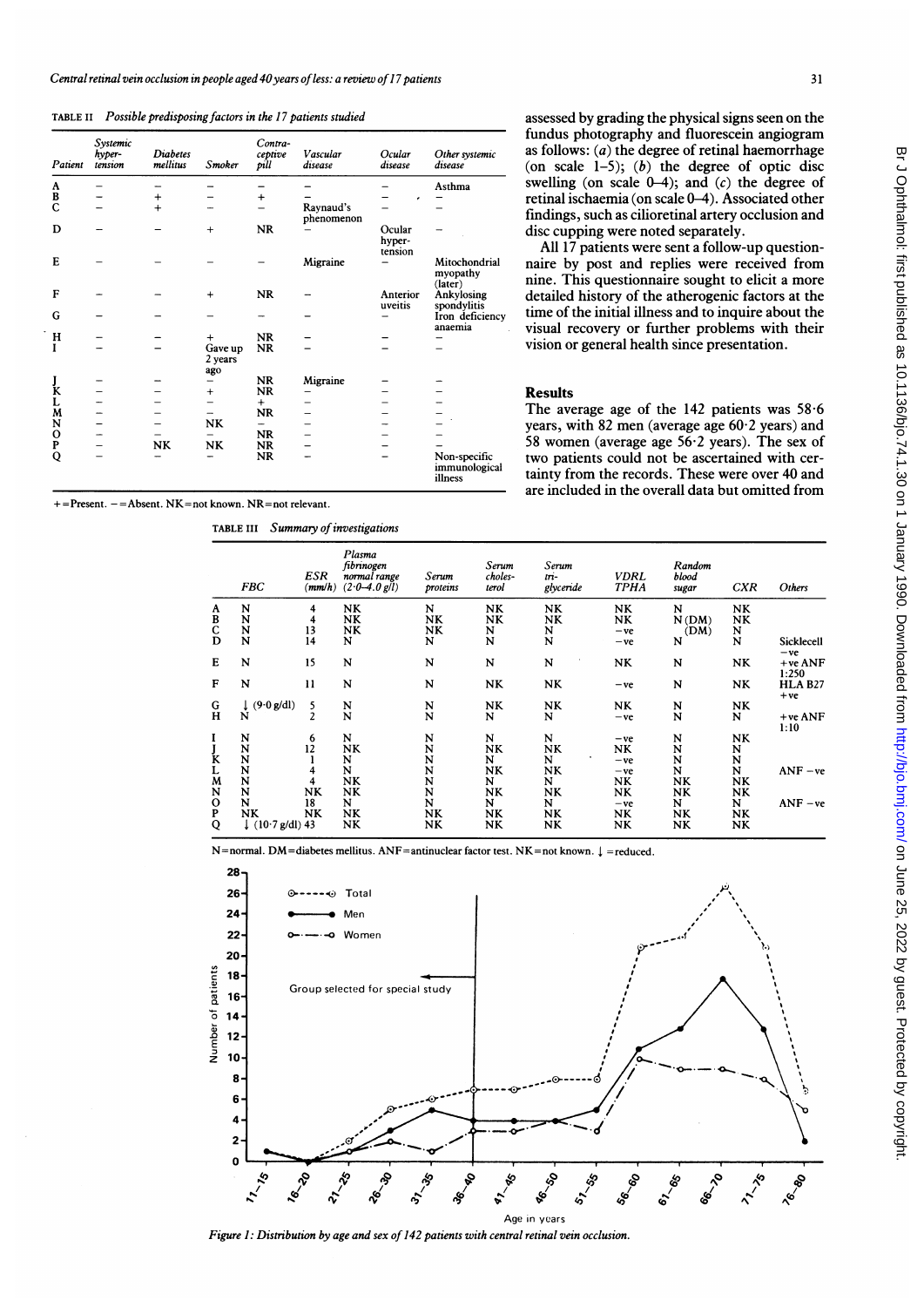TABLE II Possible predisposing factors in the 17 patients studied

| Patient     | Systemic<br>hyper-<br>tension | <b>Diabetes</b><br>mellitus | <b>Smoker</b>             | Contra-<br>ceptive<br>pill | Vascular<br>disease     | Ocular<br>disease           | Other systemic<br>disease                |
|-------------|-------------------------------|-----------------------------|---------------------------|----------------------------|-------------------------|-----------------------------|------------------------------------------|
|             |                               |                             |                           |                            |                         |                             | Asthma                                   |
|             |                               | $^{+}$                      |                           | $\ddot{}$                  |                         |                             |                                          |
| A<br>B<br>C |                               | $+$                         |                           |                            | Raynaud's<br>phenomenon |                             |                                          |
| D           |                               |                             | $+$                       | <b>NR</b>                  |                         | Ocular<br>hyper-<br>tension |                                          |
| Е           |                               |                             |                           |                            | Migraine                |                             | Mitochondrial<br>myopathy<br>(later)     |
| F           |                               |                             | $+$                       | <b>NR</b>                  |                         | Anterior<br>uveitis         | Ankylosing<br>spondylitis                |
| G           |                               |                             |                           |                            |                         |                             | Iron deficiency<br>anaemia               |
| н           |                               |                             | $^{+}$                    | <b>NR</b>                  |                         |                             |                                          |
| I           |                               |                             | Gave up<br>2 years<br>ago | <b>NR</b>                  |                         |                             |                                          |
|             |                               |                             |                           | NR                         | Migraine                |                             |                                          |
| J<br>K      |                               |                             | $\ddot{}$                 | <b>NR</b>                  |                         |                             |                                          |
|             |                               |                             |                           | $+$                        |                         |                             |                                          |
| L<br>M      |                               |                             |                           | <b>NR</b>                  |                         |                             |                                          |
| N           |                               |                             | <b>NK</b>                 | -                          |                         |                             |                                          |
|             |                               |                             |                           | <b>NR</b>                  |                         |                             |                                          |
| O<br>P      |                               | NK                          | NK                        | <b>NR</b>                  |                         |                             |                                          |
| Q           |                               |                             |                           | <b>NR</b>                  |                         |                             | Non-specific<br>immunological<br>illness |

 $=$  Present.  $=$  Absent. NK  $=$  not known. NR  $=$  not relevant.

TABLE III Summary of investigations

assessed by grading the physical signs seen on the fundus photography and fluorescein angiogram as follows:  $(a)$  the degree of retinal haemorrhage (on scale  $1-5$ ); (b) the degree of optic disc swelling (on scale  $(0-4)$ ; and  $(c)$  the degree of retinal ischaemia (on scale 0-4). Associated other findings, such as cilioretinal artery occlusion and disc cupping were noted separately.

All 17 patients were sent a follow-up questionnaire by post and replies were received from nine. This questionnaire sought to elicit a more detailed history of the atherogenic factors at the time of the initial illness and to inquire about the visual recovery or further problems with their vision or general health since presentation.

### Results

The average age of the 142 patients was  $58.6$ years, with 82 men (average age 60-2 years) and 58 women (average age  $56.2$  years). The sex of two patients could not be ascertained with certainty from the records. These were over 40 and are included in the overall data but omitted from

|                                                | <b>FBC</b>                                              | ESR<br>(mm/h)       | Plasma<br>fibrinogen<br>normal range<br>$(2.0 - 4.0$ g/l) | Serum<br>proteins         | Serum<br>choles-<br>terol | Serum<br>$\overline{m}$ -<br>glyceride | <b>VDRL</b><br><b>TPHA</b>    | Random<br>blood<br>sugar         | <b>CXR</b>                | Others                                       |
|------------------------------------------------|---------------------------------------------------------|---------------------|-----------------------------------------------------------|---------------------------|---------------------------|----------------------------------------|-------------------------------|----------------------------------|---------------------------|----------------------------------------------|
| A<br>B<br>C<br>D                               | N<br>N<br>$\mathbf N$<br>N                              | 4<br>4<br>13<br>14  | NK<br><b>NK</b><br>NK<br>N                                | N<br><b>NK</b><br>NK<br>N | NK<br>NK<br>$\frac{N}{N}$ | NK<br>NK<br>N<br>N                     | NK<br>NK.<br>$-ve$<br>$-ve$   | N<br>N(DM)<br>(DM)<br>N          | NΚ<br>NΚ<br>$\frac{N}{N}$ | Sicklecell                                   |
| Е<br>$\mathbf{F}$                              | N<br>N                                                  | 15<br>11            | N<br>N                                                    | N<br>N                    | N<br>NK                   | N<br>NK                                | NΚ<br>$-ve$                   | N<br>N                           | NK<br>NK                  | $-ve$<br>$+veANF$<br>1:250<br><b>HLA B27</b> |
| $\rm G$<br>H                                   | (9.0 g/dl)<br>N                                         | 5<br>$\overline{2}$ | N<br>N                                                    | N<br>N                    | NK<br>N                   | NK<br>N                                | NK<br>$-ve$                   | N<br>N                           | NK<br>N                   | $+ve$<br>$+veANF$<br>1:10                    |
| I<br>J<br>K<br>L<br>M                          | N<br>N<br>$\frac{N}{N}$                                 | 6<br>12<br>4        | N<br>NK<br>N<br>N                                         | N<br>N<br>N<br>N          | N<br>NK<br>N<br>NK        | N<br>NK<br>N<br>NK                     | $-ve$<br>NK<br>$-ve$<br>$-ve$ | N<br>N<br>N<br>N                 | NΚ<br>N<br>N<br>N         | $ANF - ve$                                   |
| ${\bf N}$<br>$_{\mathbf{P}}^{\mathbf{O}}$<br>Q | N<br>N<br>N<br><b>NK</b><br>$\downarrow$ (10.7 g/dl) 43 | NK<br>18<br>NK      | NΚ<br><b>NK</b><br>N<br>NK<br>NK                          | N<br>N<br>N<br>NK<br>NΚ   | N<br>NΚ<br>N<br>NK<br>NK  | N<br>NK<br>N<br>NK<br>NK               | NK<br>NK<br>$-ve$<br>NΚ<br>NK | NK<br>NK<br>N<br>NK<br><b>NK</b> | NK<br>NΚ<br>N<br>NΚ<br>NΚ | $ANF - ve$                                   |

 $N=$ normal. DM=diabetes mellitus. ANF=antinuclear factor test. NK=not known.  $\downarrow$ =reduced.



Figure 1: Distribution by age and sex of 142 patients with central retinal vein occlusion.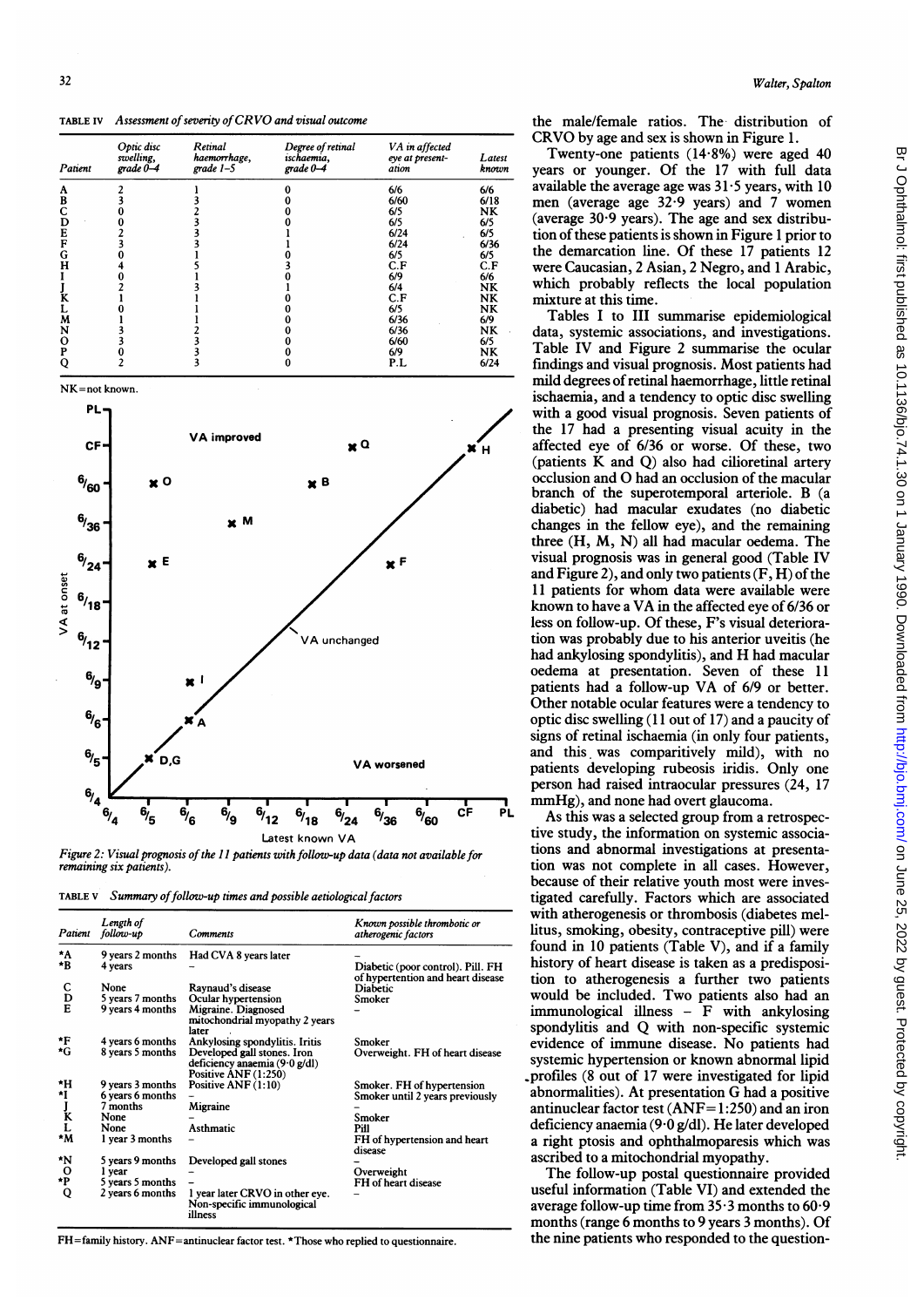TABLE IV Assessment of severity of CRVO and visual outcome

| Patient | Optic disc<br>swelling,<br>$grade 0-4$ | Retinal<br>haemorrhage,<br>$grade 1-5$ | Degree of retinal<br>ischaemia,<br>$grade 0-4$ | VA in affected<br>eye at present-<br>ation | Latest<br>known |
|---------|----------------------------------------|----------------------------------------|------------------------------------------------|--------------------------------------------|-----------------|
| A       |                                        |                                        |                                                | 6/6                                        | 6/6             |
| B       |                                        |                                        |                                                | 6/60                                       | 6/18            |
|         |                                        |                                        |                                                | 6/5                                        | NK              |
| D       |                                        |                                        |                                                | 6/5                                        | 6/5             |
| E       |                                        |                                        |                                                | 6/24                                       | 6/5             |
| F       |                                        |                                        |                                                | 6/24                                       | 6/36            |
| G       |                                        |                                        |                                                | 6/5                                        | 6/5             |
| н       |                                        |                                        |                                                | C.F                                        | C.F             |
|         |                                        |                                        |                                                | 6/9                                        | 6/6             |
|         |                                        |                                        |                                                | 6/4                                        | <b>NK</b>       |
|         |                                        |                                        |                                                | C.F                                        | NK              |
|         |                                        |                                        |                                                | 6/5                                        | NK              |
| M       |                                        |                                        |                                                | 6/36                                       | 6/9             |
| N       |                                        |                                        |                                                | 6/36                                       | NK              |
| о       |                                        |                                        |                                                | 6/60                                       | 6/5             |
| P       |                                        |                                        |                                                | 6/9                                        | NK              |
|         |                                        |                                        |                                                | P.L                                        | 6/24            |

NK=not known.



Figure 2: Visual prognosis of the 11 patients with follow-up data (data not available for remaining six patients).

TABLE V Summary of follow-up times and possible aetiological factors

| Patient                       | Length of<br>follow-up                                                              | Comments                                                                                                                         | Known possible thrombotic or<br>atherogenic factors                                                             |
|-------------------------------|-------------------------------------------------------------------------------------|----------------------------------------------------------------------------------------------------------------------------------|-----------------------------------------------------------------------------------------------------------------|
| *A<br>*B                      | 9 years 2 months<br>4 years                                                         | Had CVA 8 years later                                                                                                            | Diabetic (poor control). Pill. FH<br>of hypertention and heart disease                                          |
| С<br>$_{\rm E}^{\rm D}$       | None<br>5 years 7 months<br>9 years 4 months                                        | Raynaud's disease<br>Ocular hypertension<br>Migraine. Diagnosed<br>mitochondrial myopathy 2 years<br>later                       | Diabetic<br>Smoker                                                                                              |
| *F<br>*G                      | 4 years 6 months<br>8 years 5 months                                                | Ankylosing spondylitis. Iritis<br>Developed gall stones. Iron<br>deficiency anaemia $(9.0 \text{ g/dl})$<br>Positive ANF (1:250) | Smoker<br>Overweight. FH of heart disease                                                                       |
| *H<br>۰ı<br>J<br>K<br>L<br>۸M | 9 years 3 months<br>6 years 6 months<br>7 months<br>None<br>None<br>I year 3 months | Positive ANF (1:10)<br>Migraine<br><b>Asthmatic</b>                                                                              | Smoker. FH of hypertension<br>Smoker until 2 years previously<br>Smoker<br>Pill<br>FH of hypertension and heart |
| *N<br>$\mathbf{o}$<br>*P<br>Q | 5 years 9 months<br>l year<br>5 years 5 months<br>2 years 6 months                  | Developed gall stones<br>1 year later CRVO in other eve.<br>Non-specific immunological<br><i>illness</i>                         | disease<br>Overweight<br>FH of heart disease                                                                    |

FH=family history. ANF=antinuclear factor test. \*Those who replied to questionnaire.

the male/female ratios. The distribution of CRVO by age and sex is shown in Figure 1.

Twenty-one patients  $(14.8\%)$  were aged 40 years or younger. Of the 17 with full data available the average age was  $31.5$  years, with 10 men (average age 32-9 years) and 7 women (average 30 9 years). The age and sex distribution of these patients is shown in Figure <sup>1</sup> prior to the demarcation line. Of these 17 patients 12 were Caucasian, 2 Asian, 2 Negro, and <sup>1</sup> Arabic, which probably reflects the local population mixture at this time.

Tables <sup>I</sup> to III summarise epidemiological data, systemic associations, and investigations. Table IV and Figure 2 summarise the ocular findings and visual prognosis. Most patients had mild degrees ofretinal haemorrhage, little retinal ischaemia, and a tendency to optic disc swelling with a good visual prognosis. Seven patients of the 17 had a presenting visual acuity in the affected eye of 6/36 or worse. Of these, two (patients K and Q) also had cilioretinal artery occlusion and 0 had an occlusion of the macular branch of the superotemporal arteriole. B (a diabetic) had macular exudates (no diabetic changes in the fellow eye), and the remaining three (H, M, N) all had macular oedema. The visual prognosis was in general good (Table IV and Figure 2), and only two patients  $(F, H)$  of the <sup>11</sup> patients for whom data were available were known to have <sup>a</sup> VA in the affected eye of 6/36 or less on follow-up. Of these, F's visual deterioration was probably due to his anterior uveitis (he had ankylosing spondylitis), and H had macular oedema at presentation. Seven of these 11 patients had <sup>a</sup> follow-up VA of 6/9 or better. Other notable ocular features were a tendency to optic disc swelling (11 out of 17) and a paucity of signs of retinal ischaemia (in only four patients, and this was comparitively mild), with no patients developing rubeosis iridis. Only one person had raised intraocular pressures (24, 17 mmHg), and none had overt glaucoma.

As this was a selected group from a retrospective study, the information on systemic associations and abnormal investigations at presentation was not complete in all cases. However, because of their relative youth most were investigated carefully. Factors which are associated with atherogenesis or thrombosis (diabetes mellitus, smoking, obesity, contraceptive pill) were found in 10 patients (Table V), and if a family history of heart disease is taken as a predisposition to atherogenesis a further two patients would be included. Two patients also had an  $immunological$  illness - F with ankylosing spondylitis and Q with non-specific systemic evidence of immune disease. No patients had systemic hypertension or known abnormal lipid profiles (8 out of 17 were investigated for lipid abnormalities). At presentation G had <sup>a</sup> positive antinuclear factor test  $(ANF=1:250)$  and an iron deficiency anaemia (9·0 g/dl). He later developed a right ptosis and ophthalmoparesis which was ascribed to a mitochondrial myopathy.

The follow-up postal questionnaire provided useful information (Table VI) and extended the average follow-up time from  $35.3$  months to  $60.9$ months (range 6 months to 9 years 3 months). Of the nine patients who responded to the question-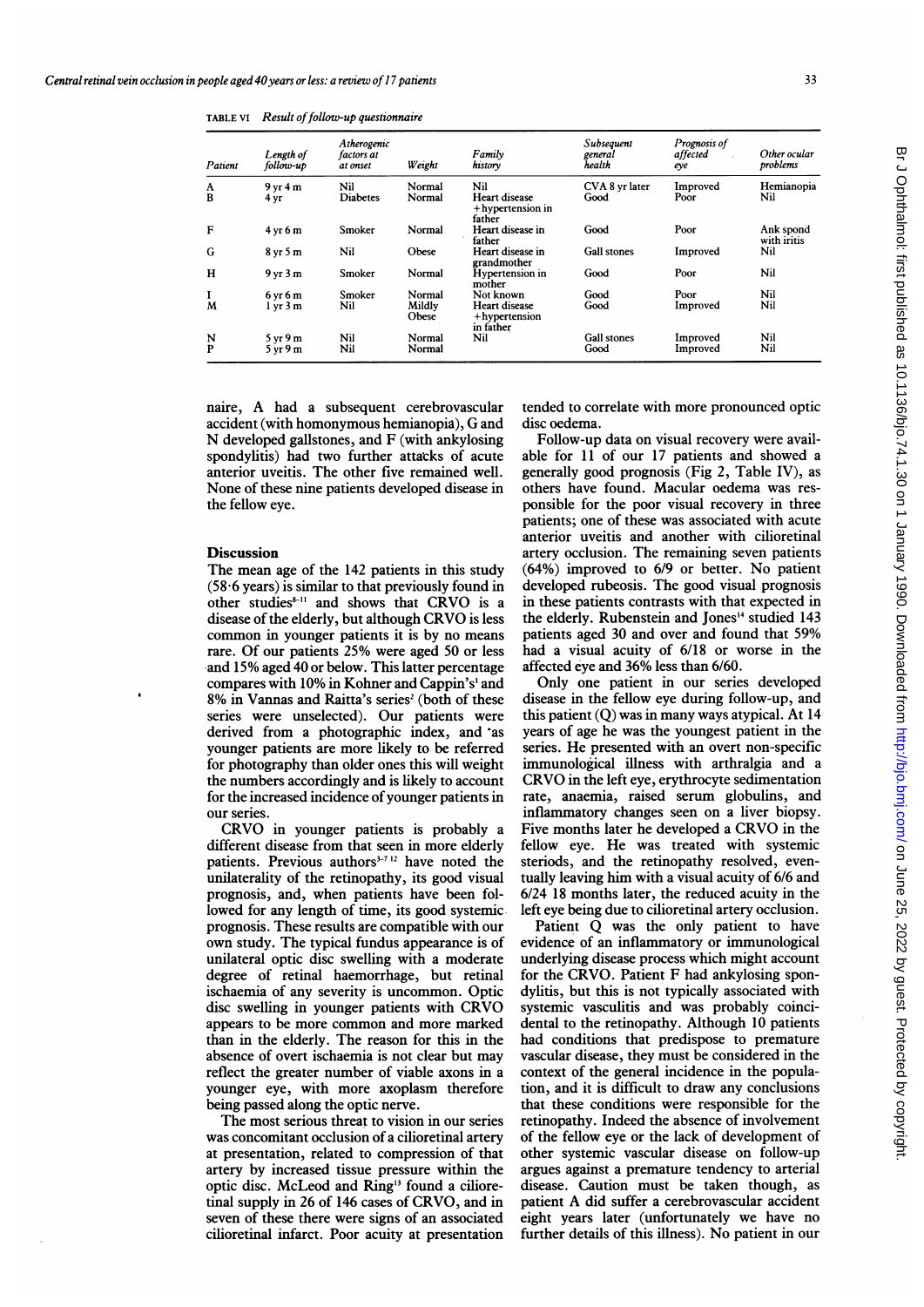| Patient | Length of<br>follow-up         | Atherogenic<br>factors at<br>at onset | Weight          | Family<br>history                                  | Subsequent<br>general<br>health | Prognosis of<br>affected<br>eye | Other ocular<br>problems |
|---------|--------------------------------|---------------------------------------|-----------------|----------------------------------------------------|---------------------------------|---------------------------------|--------------------------|
| A       | 9 <sub>vr</sub> 4 <sub>m</sub> | Nil                                   | Normal          | Nil                                                | CVA 8 yr later                  | Improved                        | Hemianopia               |
| B       | 4 yr                           | <b>Diabetes</b>                       | Normal          | <b>Heart disease</b><br>+hypertension in<br>father | Good                            | Poor                            | Nil                      |
| F       | $4 \times 6 m$                 | Smoker                                | Normal          | Heart disease in<br>father                         | Good                            | Poor                            | Ank spond<br>with iritis |
| G       | $8 \text{ yr} 5 \text{ m}$     | Nil                                   | Obese           | Heart disease in<br>grandmother                    | <b>Gall stones</b>              | Improved                        | Nil                      |
| н       | 9 <sub>vr</sub> 3 <sub>m</sub> | Smoker                                | Normal          | <b>Hypertension</b> in<br>mother                   | Good                            | Poor                            | Nil                      |
|         | $6 \text{ yr} 6 \text{ m}$     | Smoker                                | Normal          | Not known                                          | Good                            | Poor                            | Nil                      |
| M       | 1 yr 3 m                       | Nil                                   | Mildly<br>Obese | Heart disease<br>+hypertension<br>in father        | Good                            | Improved                        | Nil                      |
| N       | 5 <sub>vr</sub> 9 <sub>m</sub> | Nil                                   | Normal          | Nil                                                | <b>Gall</b> stones              | Improved                        | Nil                      |
| P       | 5 yr9m                         | Nil                                   | Normal          |                                                    | Good                            | Improved                        | Nil                      |

TABLE VI Result of follow-up questionnaire

naire, A had <sup>a</sup> subsequent cerebrovascular accident (with homonymous hemianopia), G and N developed gallstones, and F (with ankylosing spondylitis) had two further attacks of acute anterior uveitis. The other five remained well. None of these nine patients developed disease in the fellow eye.

## **Discussion**

The mean age of the 142 patients in this study  $(58.6 \text{ years})$  is similar to that previously found in other studies<sup>8-11</sup> and shows that CRVO is a disease of the elderly, but although CRVO is less common in younger patients it is by no means rare. Of our patients 25% were aged 50 or less and 15% aged 40 or below. This latter percentage compares with 10% in Kohner and Cappin's' and 8% in Vannas and Raitta's series<sup>2</sup> (both of these series were unselected). Our patients were derived from a photographic index, and as younger patients are more likely to be referred for photography than older ones this will weight the numbers accordingly and is likely to account for the increased incidence of younger patients in our series.

CRVO in younger patients is probably <sup>a</sup> different disease from that seen in more elderly patients. Previous authors<sup> $3-712$ </sup> have noted the unilaterality of the retinopathy, its good visual prognosis, and, when patients have been followed for any length of time, its good systemic prognosis. These results are compatible with our own study. The typical fundus appearance is of unilateral optic disc swelling with a moderate degree of retinal haemorrhage, but retinal ischaemia of any severity is uncommon. Optic disc swelling in younger patients with CRVO appears to be more common and more marked than in the elderly. The reason for this in the absence of overt ischaemia is not clear but may reflect the greater number of viable axons in a younger eye, with more axoplasm therefore being passed along the optic nerve.

The most serious threat to vision in our series was concomitant occlusion of a cilioretinal artery at presentation, related to compression of that artery by increased tissue pressure within the optic disc. McLeod and Ring<sup>13</sup> found a cilioretinal supply in 26 of 146 cases of CRVO, and in seven of these there were signs of an associated cilioretinal infarct. Poor acuity at presentation tended to correlate with more pronounced optic disc oedema.

Follow-up data on visual recovery were available for 11 of our 17 patients and showed a generally good prognosis (Fig 2, Table IV), as others have found. Macular oedema was responsible for the poor visual recovery in three patients; one of these was associated with acute anterior uveitis and another with cilioretinal artery occlusion. The remaining seven patients (64%) improved to 6/9 or better. No patient developed rubeosis. The good visual prognosis in these patients contrasts with that expected in the elderly. Rubenstein and Jones'4 studied 143 patients aged 30 and over and found that 59% had a visual acuity of 6/18 or worse in the affected eye and 36% less than 6/60.

Only one patient in our series developed disease in the fellow eye during follow-up, and this patient (Q) was in many ways atypical. At 14 years of age he was the youngest patient in the series. He presented with an overt non-specific immunological illness with arthralgia and a CRVO in the left eye, erythrocyte sedimentation rate, anaemia, raised serum globulins, and inflammatory changes seen on a liver biopsy. Five months later he developed <sup>a</sup> CRVO in the fellow eye. He was treated with systemic steriods, and the retinopathy resolved, eventually leaving him with a visual acuity of 6/6 and 6/24 18 months later, the reduced acuity in the left eye being due to cilioretinal artery occlusion.

Patient Q was the only patient to have evidence of an inflammatory or immunological underlying disease process which might account for the CRVO. Patient F had ankylosing spondylitis, but this is not typically associated with systemic vasculitis and was probably coincidental to the retinopathy. Although 10 patients had conditions that predispose to premature vascular disease, they must be considered in the context of the general incidence in the population, and it is difficult to draw any conclusions that these conditions were responsible for the retinopathy. Indeed the absence of involvement of the fellow eye or the lack of development of other systemic vascular disease on follow-up argues against a premature tendency to arterial disease. Caution must be taken though, as patient A did suffer <sup>a</sup> cerebrovascular accident eight years later (unfortunately we have no further details of this illness). No patient in our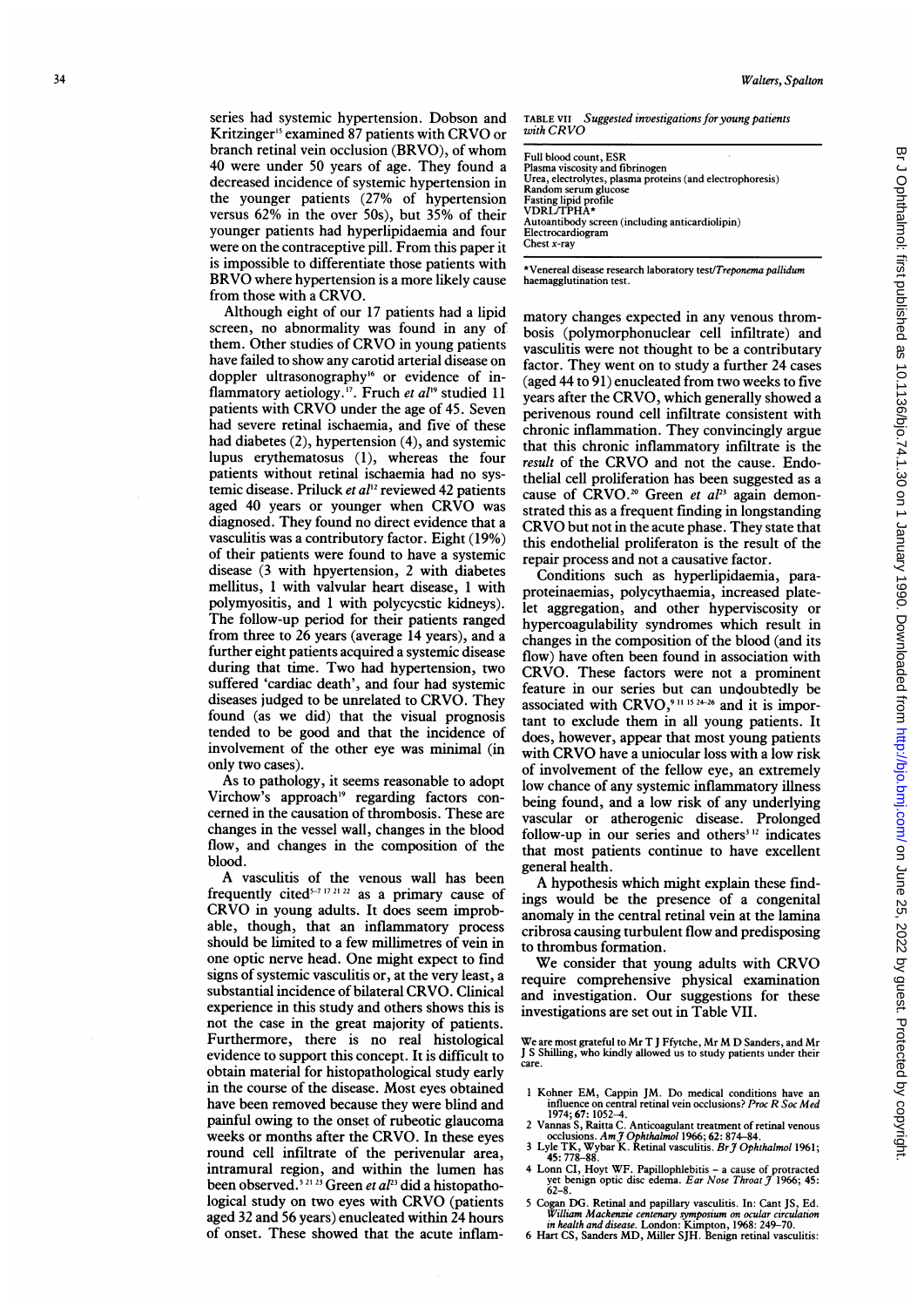series had systemic hypertension. Dobson and Kritzinger<sup>15</sup> examined 87 patients with CRVO or branch retinal vein occlusion (BRVO), of whom 40 were under 50 years of age. They found a decreased incidence of systemic hypertension in the younger patients (27% of hypertension versus 62% in the over 50s), but 35% of their younger patients had hyperlipidaemia and four were on the contraceptive pill. From this paper it is impossible to differentiate those patients with BRVO where hypertension is a more likely cause from those with <sup>a</sup> CRVO.

Although eight of our 17 patients had a lipid screen, no abnormality was found in any of them. Other studies of CRVO in young patients have failed to show any carotid arterial disease on doppler ultrasonography<sup>16</sup> or evidence of inflammatory aetiology.<sup>17</sup>. Fruch et  $al^{19}$  studied 11 patients with CRVO under the age of 45. Seven had severe retinal ischaemia, and five of these had diabetes (2), hypertension (4), and systemic lupus erythematosus (1), whereas the four patients without retinal ischaemia had no systemic disease. Priluck et  $al^{12}$  reviewed 42 patients aged <sup>40</sup> years or younger when CRVO was diagnosed. They found no direct evidence that a vasculitis was a contributory factor. Eight (19%) of their patients were found to have a systemic disease (3 with hpyertension, 2 with diabetes mellitus, <sup>1</sup> with valvular heart disease, <sup>1</sup> with polymyositis, and <sup>1</sup> with polycycstic kidneys). The follow-up period for their patients ranged from three to 26 years (average 14 years), and a further eight patients acquired a systemic disease during that time. Two had hypertension, two suffered 'cardiac death', and four had systemic diseases judged to be unrelated to CRVO. They found (as we did) that the visual prognosis tended to be good and that the incidence of involvement of the other eye was minimal (in only two cases).

As to pathology, it seems reasonable to adopt Virchow's approach'9 regarding factors concerned in the causation of thrombosis. These are changes in the vessel wall, changes in the blood flow, and changes in the composition of the blood.

A vasculitis of the venous wall has been frequently cited<sup>5-7-1721-22</sup> as a primary cause of CRVO in young adults. It does seem improbable, though, that an inflammatory process should be limited to a few millimetres of vein in one optic nerve head. One might expect to find signs of systemic vasculitis or, at the very least, a substantial incidence of bilateral CRVO. Clinical experience in this study and others shows this is not the case in the great majority of patients. Furthermore, there is no real histological evidence to support this concept. It is difficult to obtain material for histopathological study early in the course of the disease. Most eyes obtained have been removed because they were blind and painful owing to the onset of rubeotic glaucoma weeks or months after the CRVO. In these eyes round cell infiltrate of the perivenular area, intramural region, and within the lumen has been observed.<sup>521.23</sup> Green *et al*<sup>23</sup> did a histopathological study on two eyes with CRVO (patients aged 32 and 56 years) enucleated within 24 hours of onset. These showed that the acute inflam-

TABLE VII Suggested investigations for young patients with CRVO

\*Venereal disease research laboratory test/Treponema pallidum haemagglutination test.

matory changes expected in any venous thrombosis (polymorphonuclear cell infiltrate) and vasculitis were not thought to be a contributary factor. They went on to study a further 24 cases (aged 44 to 91) enucleated from two weeks to five years after the CRVO, which generally showed a perivenous round cell infiltrate consistent with chronic inflammation. They convincingly argue that this chronic inflammatory infiltrate is the result of the CRVO and not the cause. Endothelial cell proliferation has been suggested as a cause of CRVO.<sup>20</sup> Green et  $aI<sup>23</sup>$  again demonstrated this as a frequent finding in longstanding CRVO but not in the acute phase. They state that this endothelial proliferaton is the result of the repair process and not a causative factor.

Conditions such as hyperlipidaemia, paraproteinaemias, polycythaemia, increased platelet aggregation, and other hyperviscosity or hypercoagulability syndromes which result in changes in the composition of the blood (and its flow) have often been found in association with CRVO. These factors were not a prominent feature in our series but can undoubtedly be associated with  $C RVO<sub>2</sub><sup>9111524-26</sup>$  and it is important to exclude them in all young patients. It does, however, appear that most young patients with CRVO have a uniocular loss with a low risk of involvement of the fellow eye, an extremely low chance of any systemic inflammatory illness being found, and a low risk of any underlying vascular or atherogenic disease. Prolonged follow-up in our series and others<sup>312</sup> indicates that most patients continue to have excellent general health.

A hypothesis which might explain these findings would be the presence of a congenital anomaly in the central retinal vein at the lamina cribrosa causing turbulent flow and predisposing to thrombus formation.

We consider that young adults with CRVO require comprehensive physical examination and investigation. Our suggestions for these investigations are set out in Table VII.

We are most grateful to Mr T J Ffytche, Mr M D Sanders, and Mr<br>J S Shilling, who kindly allowed us to study patients under their care.

- <sup>1</sup> Kohner EM, Cappin JM. Do medical conditions have an
- influence on central retinal vein occlusions? Proc R Soc Med<br>1974; 67: 1052—4.<br>2 Vannas S, Raitta C. Anticoagulant treatment of retinal venous<br>occlusions. Am J Ophthalmol 1966; 62: 874–84.<br>3 Lyle TK, Wybar K. Retinal vascu
- 
- 4 Lonn CI, Hoyt WF. Papillophlebitis a cause of protracted yet benign optic disc edema. Ear Nose Throat  $\ddot{j}$  1966; 45: 62–8.

<sup>5</sup> Cogan DG. Retinal and papillary vasculitis. In: Cant JS, Ed. William Mackenzie centenary symposium on ocular circulation in health and disease. London: Kimpton, 1%8: 249-70.

<sup>6</sup> Hart CS, Sanders MD, Miller SJH. Benign retinal vasculitis: